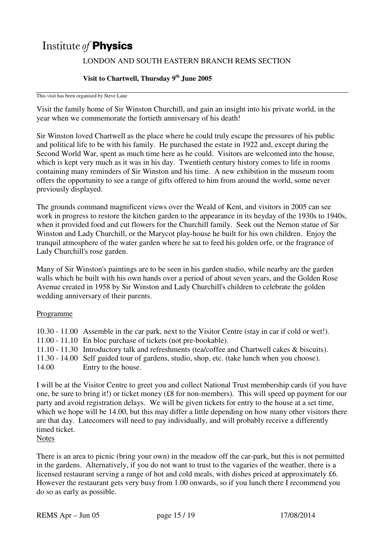# Institute of **Physics**

## LONDON AND SOUTH EASTERN BRANCH REMS SECTION

## **Visit to Chartwell, Thursday 9th June 2005**

This visit has been organised by Steve Lane

Visit the family home of Sir Winston Churchill, and gain an insight into his private world, in the year when we commemorate the fortieth anniversary of his death!

Sir Winston loved Chartwell as the place where he could truly escape the pressures of his public and political life to be with his family. He purchased the estate in 1922 and, except during the Second World War, spent as much time here as he could. Visitors are welcomed into the house, which is kept very much as it was in his day. Twentieth century history comes to life in rooms containing many reminders of Sir Winston and his time. A new exhibition in the museum room offers the opportunity to see a range of gifts offered to him from around the world, some never previously displayed.

The grounds command magnificent views over the Weald of Kent, and visitors in 2005 can see work in progress to restore the kitchen garden to the appearance in its heyday of the 1930s to 1940s, when it provided food and cut flowers for the Churchill family. Seek out the Nemon statue of Sir Winston and Lady Churchill, or the Marycot play-house he built for his own children. Enjoy the tranquil atmosphere of the water garden where he sat to feed his golden orfe, or the fragrance of Lady Churchill's rose garden.

Many of Sir Winston's paintings are to be seen in his garden studio, while nearby are the garden walls which he built with his own hands over a period of about seven years, and the Golden Rose Avenue created in 1958 by Sir Winston and Lady Churchill's children to celebrate the golden wedding anniversary of their parents.

#### Programme

10.30 - 11.00 Assemble in the car park, next to the Visitor Centre (stay in car if cold or wet!). 11.00 - 11.10 En bloc purchase of tickets (not pre-bookable). 11.10 - 11.30 Introductory talk and refreshments (tea/coffee and Chartwell cakes & biscuits). 11.30 - 14.00 Self guided tour of gardens, studio, shop, etc. (take lunch when you choose). 14.00 Entry to the house.

I will be at the Visitor Centre to greet you and collect National Trust membership cards (if you have one, be sure to bring it!) or ticket money (£8 for non-members). This will speed up payment for our party and avoid registration delays. We will be given tickets for entry to the house at a set time, which we hope will be 14.00, but this may differ a little depending on how many other visitors there are that day. Latecomers will need to pay individually, and will probably receive a differently timed ticket.

There is an area to picnic (bring your own) in the meadow off the car-park, but this is not permitted in the gardens. Alternatively, if you do not want to trust to the vagaries of the weather, there is a licensed restaurant serving a range of hot and cold meals, with dishes priced at approximately £6. However the restaurant gets very busy from 1.00 onwards, so if you lunch there I recommend you do so as early as possible.

**Notes**